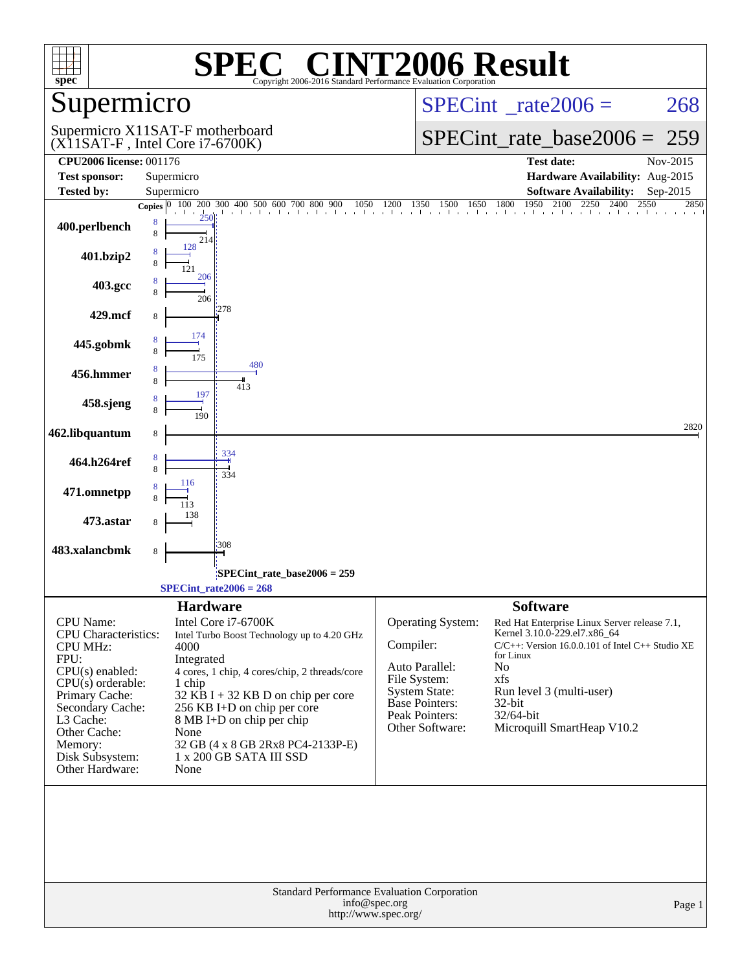| $spec^*$                                                                                                                                                                                                                            | SPE<br>Copyright 2006-2016 Standard Performance Evaluation Cornoration                                                                                                                                                                                                                                                                  | $\mathbb{C}^{\circledast}$ CINT2006 Result                                                                                                                                                                                                                                                                                                                                                               |  |  |  |  |
|-------------------------------------------------------------------------------------------------------------------------------------------------------------------------------------------------------------------------------------|-----------------------------------------------------------------------------------------------------------------------------------------------------------------------------------------------------------------------------------------------------------------------------------------------------------------------------------------|----------------------------------------------------------------------------------------------------------------------------------------------------------------------------------------------------------------------------------------------------------------------------------------------------------------------------------------------------------------------------------------------------------|--|--|--|--|
| Supermicro                                                                                                                                                                                                                          |                                                                                                                                                                                                                                                                                                                                         | $SPECint^{\circ}$ rate $2006 =$<br>268                                                                                                                                                                                                                                                                                                                                                                   |  |  |  |  |
|                                                                                                                                                                                                                                     | Supermicro X11SAT-F motherboard<br>$(X11SAT-F, Intel Core i7-6700K)$                                                                                                                                                                                                                                                                    | $SPECint_rate\_base2006 =$<br>259                                                                                                                                                                                                                                                                                                                                                                        |  |  |  |  |
| <b>CPU2006 license: 001176</b>                                                                                                                                                                                                      |                                                                                                                                                                                                                                                                                                                                         | <b>Test date:</b><br>Nov-2015                                                                                                                                                                                                                                                                                                                                                                            |  |  |  |  |
| <b>Test sponsor:</b>                                                                                                                                                                                                                | Supermicro                                                                                                                                                                                                                                                                                                                              | Hardware Availability: Aug-2015                                                                                                                                                                                                                                                                                                                                                                          |  |  |  |  |
| <b>Tested by:</b>                                                                                                                                                                                                                   | Supermicro                                                                                                                                                                                                                                                                                                                              | <b>Software Availability:</b><br>Sep-2015<br>2850                                                                                                                                                                                                                                                                                                                                                        |  |  |  |  |
| 400.perlbench                                                                                                                                                                                                                       | 8<br>8<br>214                                                                                                                                                                                                                                                                                                                           | <b>Copies</b> $\begin{bmatrix} 0 & 100 & 200 & 300 & 400 & 500 & 600 & 700 & 800 & 900 & 1050 & 1200 & 1350 & 1500 & 1650 & 1800 & 1950 & 2100 & 2250 & 2400 & 2550 \end{bmatrix}$                                                                                                                                                                                                                       |  |  |  |  |
| 401.bzip2                                                                                                                                                                                                                           | 128                                                                                                                                                                                                                                                                                                                                     |                                                                                                                                                                                                                                                                                                                                                                                                          |  |  |  |  |
| 403.gcc                                                                                                                                                                                                                             | 206<br>206                                                                                                                                                                                                                                                                                                                              |                                                                                                                                                                                                                                                                                                                                                                                                          |  |  |  |  |
| 429.mcf                                                                                                                                                                                                                             | 278<br>8                                                                                                                                                                                                                                                                                                                                |                                                                                                                                                                                                                                                                                                                                                                                                          |  |  |  |  |
| 445.gobmk                                                                                                                                                                                                                           | 174                                                                                                                                                                                                                                                                                                                                     |                                                                                                                                                                                                                                                                                                                                                                                                          |  |  |  |  |
| 456.hmmer                                                                                                                                                                                                                           | 480<br>8<br>8<br>413<br>197                                                                                                                                                                                                                                                                                                             |                                                                                                                                                                                                                                                                                                                                                                                                          |  |  |  |  |
| 458.sjeng                                                                                                                                                                                                                           | 190                                                                                                                                                                                                                                                                                                                                     |                                                                                                                                                                                                                                                                                                                                                                                                          |  |  |  |  |
| 462.libquantum                                                                                                                                                                                                                      | 8                                                                                                                                                                                                                                                                                                                                       | 2820                                                                                                                                                                                                                                                                                                                                                                                                     |  |  |  |  |
| 464.h264ref                                                                                                                                                                                                                         | 334<br>8<br>8<br>334<br>116                                                                                                                                                                                                                                                                                                             |                                                                                                                                                                                                                                                                                                                                                                                                          |  |  |  |  |
| 471.omnetpp                                                                                                                                                                                                                         |                                                                                                                                                                                                                                                                                                                                         |                                                                                                                                                                                                                                                                                                                                                                                                          |  |  |  |  |
| 473.astar<br>483.xalancbmk                                                                                                                                                                                                          | 308<br>8                                                                                                                                                                                                                                                                                                                                |                                                                                                                                                                                                                                                                                                                                                                                                          |  |  |  |  |
|                                                                                                                                                                                                                                     |                                                                                                                                                                                                                                                                                                                                         |                                                                                                                                                                                                                                                                                                                                                                                                          |  |  |  |  |
|                                                                                                                                                                                                                                     | SPECint_rate_base2006 = 259:<br>$SPECint_rate2006 = 268$                                                                                                                                                                                                                                                                                |                                                                                                                                                                                                                                                                                                                                                                                                          |  |  |  |  |
|                                                                                                                                                                                                                                     | <b>Hardware</b>                                                                                                                                                                                                                                                                                                                         | <b>Software</b>                                                                                                                                                                                                                                                                                                                                                                                          |  |  |  |  |
| CPU Name:<br><b>CPU</b> Characteristics:<br><b>CPU MHz:</b><br>FPU:<br>$CPU(s)$ enabled:<br>$CPU(s)$ orderable:<br>Primary Cache:<br>Secondary Cache:<br>L3 Cache:<br>Other Cache:<br>Memory:<br>Disk Subsystem:<br>Other Hardware: | Intel Core i7-6700K<br>Intel Turbo Boost Technology up to 4.20 GHz<br>4000<br>Integrated<br>4 cores, 1 chip, 4 cores/chip, 2 threads/core<br>1 chip<br>$32$ KB I + 32 KB D on chip per core<br>256 KB I+D on chip per core<br>8 MB I+D on chip per chip<br>None<br>32 GB (4 x 8 GB 2Rx8 PC4-2133P-E)<br>1 x 200 GB SATA III SSD<br>None | Operating System:<br>Red Hat Enterprise Linux Server release 7.1,<br>Kernel 3.10.0-229.el7.x86_64<br>Compiler:<br>$C/C++$ : Version 16.0.0.101 of Intel C++ Studio XE<br>for Linux<br>Auto Parallel:<br>No<br>File System:<br>xfs<br>Run level 3 (multi-user)<br><b>System State:</b><br><b>Base Pointers:</b><br>32-bit<br>Peak Pointers:<br>32/64-bit<br>Microquill SmartHeap V10.2<br>Other Software: |  |  |  |  |
| Standard Performance Evaluation Corporation<br>info@spec.org<br>Page 1<br>http://www.spec.org/                                                                                                                                      |                                                                                                                                                                                                                                                                                                                                         |                                                                                                                                                                                                                                                                                                                                                                                                          |  |  |  |  |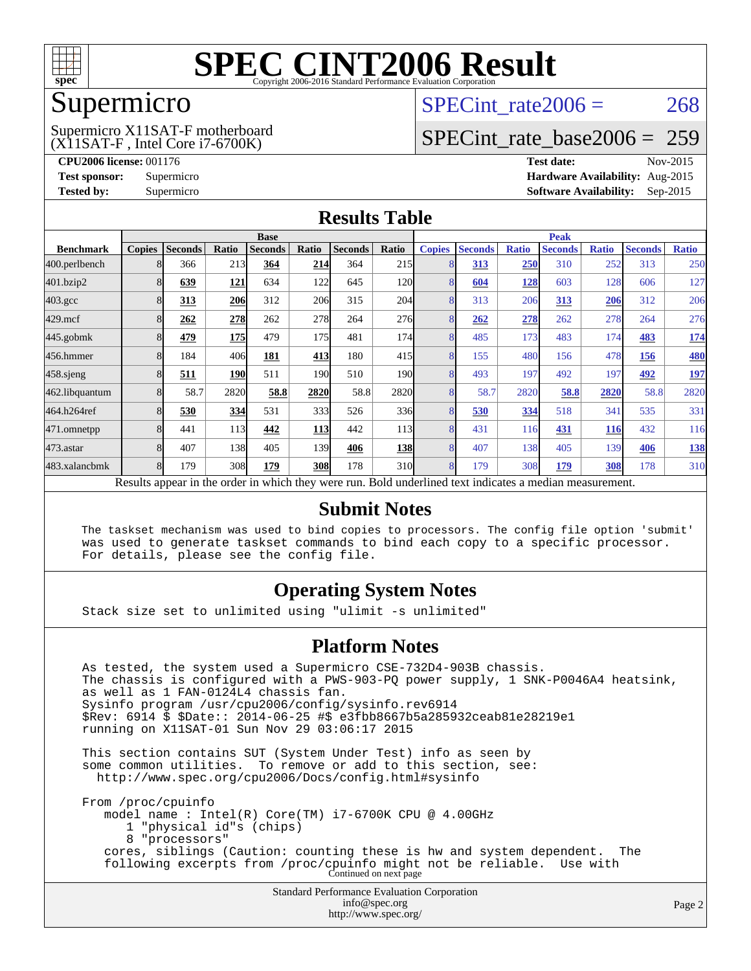

## Supermicro

(X11SAT-F , Intel Core i7-6700K) Supermicro X11SAT-F motherboard SPECint rate $2006 = 268$ 

# [SPECint\\_rate\\_base2006 =](http://www.spec.org/auto/cpu2006/Docs/result-fields.html#SPECintratebase2006) 259

**[CPU2006 license:](http://www.spec.org/auto/cpu2006/Docs/result-fields.html#CPU2006license)** 001176 **[Test date:](http://www.spec.org/auto/cpu2006/Docs/result-fields.html#Testdate)** Nov-2015 **[Test sponsor:](http://www.spec.org/auto/cpu2006/Docs/result-fields.html#Testsponsor)** Supermicro **[Hardware Availability:](http://www.spec.org/auto/cpu2006/Docs/result-fields.html#HardwareAvailability)** Aug-2015 **[Tested by:](http://www.spec.org/auto/cpu2006/Docs/result-fields.html#Testedby)** Supermicro **Supermicro [Software Availability:](http://www.spec.org/auto/cpu2006/Docs/result-fields.html#SoftwareAvailability)** Sep-2015

### **[Results Table](http://www.spec.org/auto/cpu2006/Docs/result-fields.html#ResultsTable)**

|                                                                                                          | <b>Base</b>   |                |            |                |            | <b>Peak</b>    |                  |               |                |              |                |              |                |              |
|----------------------------------------------------------------------------------------------------------|---------------|----------------|------------|----------------|------------|----------------|------------------|---------------|----------------|--------------|----------------|--------------|----------------|--------------|
| <b>Benchmark</b>                                                                                         | <b>Copies</b> | <b>Seconds</b> | Ratio      | <b>Seconds</b> | Ratio      | <b>Seconds</b> | Ratio            | <b>Copies</b> | <b>Seconds</b> | <b>Ratio</b> | <b>Seconds</b> | <b>Ratio</b> | <b>Seconds</b> | <b>Ratio</b> |
| 400.perlbench                                                                                            |               | 366            | 213        | 364            | 214        | 364            | 215              | 8             | 313            | 250          | 310            | 252          | 313            | 250          |
| 401.bzip2                                                                                                |               | 639            | <u>121</u> | 634            | 122        | 645            | <b>120</b>       | 8             | 604            | <u>128</u>   | 603            | 128          | 606            | 127          |
| $403.\mathrm{gcc}$                                                                                       |               | 313            | <b>206</b> | 312            | 206        | 315            | 204              | 8             | 313            | 206          | 313            | 206          | 312            | 206          |
| $429$ .mcf                                                                                               |               | 262            | 278        | 262            | 278        | 264            | 276              | 8             | 262            | 278          | 262            | 278          | 264            | 276          |
| $445$ .gobm $k$                                                                                          | 8             | 479            | <b>175</b> | 479            | 175        | 481            | 174              | 8             | 485            | 173          | 483            | 174          | 483            | <u>174</u>   |
| 456.hmmer                                                                                                |               | 184            | 406        | 181            | 413        | 180            | 415              | 8             | 155            | 480          | 156            | 478          | 156            | 480          |
| $458$ .sjeng                                                                                             |               | 511            | <b>190</b> | 511            | 190        | 510            | 190 <sup>l</sup> | 8             | 493            | 197          | 492            | 197          | 492            | <u> 197</u>  |
| 462.libquantum                                                                                           |               | 58.7           | 2820       | 58.8           | 2820       | 58.8           | 2820             | 8             | 58.7           | 2820         | 58.8           | 2820         | 58.8           | 2820         |
| 464.h264ref                                                                                              |               | 530            | 334        | 531            | 333I       | 526            | 336              | 8             | 530            | 334          | 518            | 341          | 535            | 331          |
| 471.omnetpp                                                                                              |               | 441            | 113        | 442            | <u>113</u> | 442            | <b>113</b>       | 8             | 431            | 116          | 431            | <b>116</b>   | 432            | 116          |
| 473.astar                                                                                                |               | 407            | 138        | 405            | 139        | 406            | <b>138</b>       | 8             | 407            | 138          | 405            | 139          | 406            | <u>138</u>   |
| 483.xalancbmk                                                                                            |               | 179            | 308        | 179            | 308        | 178            | 310l             | 8             | 179            | 308          | 179            | 308          | 178            | 310          |
| Results appear in the order in which they were run. Bold underlined text indicates a median measurement. |               |                |            |                |            |                |                  |               |                |              |                |              |                |              |

#### **[Submit Notes](http://www.spec.org/auto/cpu2006/Docs/result-fields.html#SubmitNotes)**

 The taskset mechanism was used to bind copies to processors. The config file option 'submit' was used to generate taskset commands to bind each copy to a specific processor. For details, please see the config file.

### **[Operating System Notes](http://www.spec.org/auto/cpu2006/Docs/result-fields.html#OperatingSystemNotes)**

Stack size set to unlimited using "ulimit -s unlimited"

#### **[Platform Notes](http://www.spec.org/auto/cpu2006/Docs/result-fields.html#PlatformNotes)**

Standard Performance Evaluation Corporation As tested, the system used a Supermicro CSE-732D4-903B chassis. The chassis is configured with a PWS-903-PQ power supply, 1 SNK-P0046A4 heatsink, as well as 1 FAN-0124L4 chassis fan. Sysinfo program /usr/cpu2006/config/sysinfo.rev6914 \$Rev: 6914 \$ \$Date:: 2014-06-25 #\$ e3fbb8667b5a285932ceab81e28219e1 running on X11SAT-01 Sun Nov 29 03:06:17 2015 This section contains SUT (System Under Test) info as seen by some common utilities. To remove or add to this section, see: <http://www.spec.org/cpu2006/Docs/config.html#sysinfo> From /proc/cpuinfo model name : Intel(R) Core(TM) i7-6700K CPU @ 4.00GHz 1 "physical id"s (chips) 8 "processors" cores, siblings (Caution: counting these is hw and system dependent. The following excerpts from /proc/cpuinfo might not be reliable. Use with Continued on next page

[info@spec.org](mailto:info@spec.org) <http://www.spec.org/>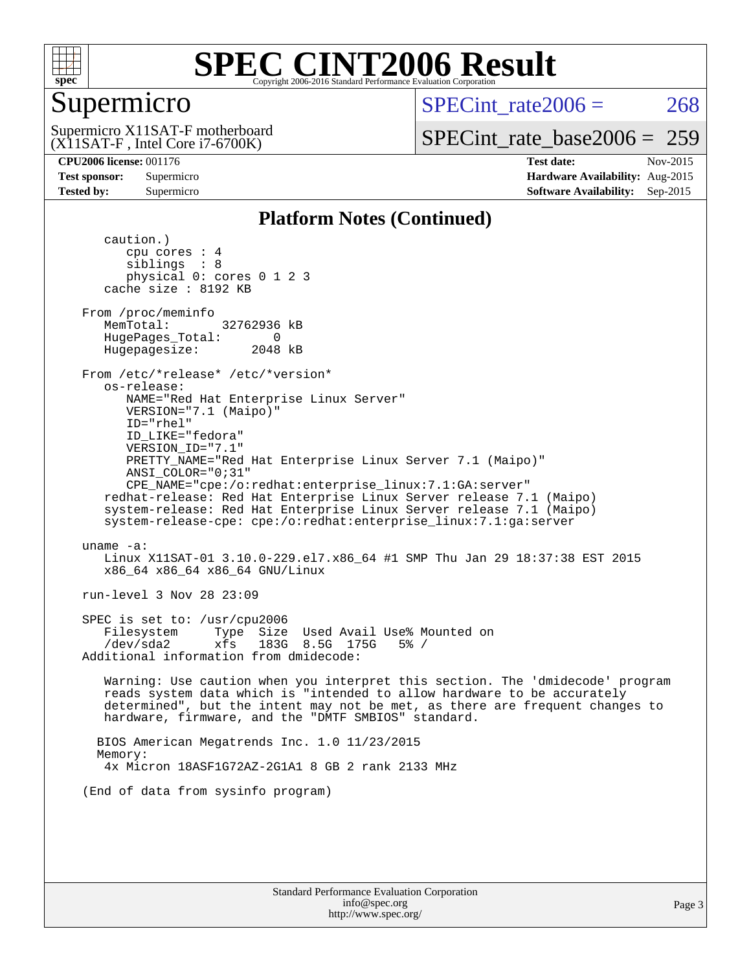

### Supermicro

SPECint rate $2006 = 268$ 

(X11SAT-F , Intel Core i7-6700K) Supermicro X11SAT-F motherboard

[SPECint\\_rate\\_base2006 =](http://www.spec.org/auto/cpu2006/Docs/result-fields.html#SPECintratebase2006) 259

**[CPU2006 license:](http://www.spec.org/auto/cpu2006/Docs/result-fields.html#CPU2006license)** 001176 **[Test date:](http://www.spec.org/auto/cpu2006/Docs/result-fields.html#Testdate)** Nov-2015 **[Test sponsor:](http://www.spec.org/auto/cpu2006/Docs/result-fields.html#Testsponsor)** Supermicro **[Hardware Availability:](http://www.spec.org/auto/cpu2006/Docs/result-fields.html#HardwareAvailability)** Aug-2015 **[Tested by:](http://www.spec.org/auto/cpu2006/Docs/result-fields.html#Testedby)** Supermicro **Supermicro [Software Availability:](http://www.spec.org/auto/cpu2006/Docs/result-fields.html#SoftwareAvailability)** Sep-2015

### **[Platform Notes \(Continued\)](http://www.spec.org/auto/cpu2006/Docs/result-fields.html#PlatformNotes)**

 caution.) cpu cores : 4 siblings : 8 physical 0: cores 0 1 2 3 cache size : 8192 KB From /proc/meminfo MemTotal: 32762936 kB HugePages\_Total: 0<br>Hugepagesize: 2048 kB Hugepagesize: From /etc/\*release\* /etc/\*version\* os-release: NAME="Red Hat Enterprise Linux Server" VERSION="7.1 (Maipo)" ID="rhel" ID\_LIKE="fedora" VERSION\_ID="7.1" PRETTY\_NAME="Red Hat Enterprise Linux Server 7.1 (Maipo)" ANSI\_COLOR="0;31" CPE\_NAME="cpe:/o:redhat:enterprise\_linux:7.1:GA:server" redhat-release: Red Hat Enterprise Linux Server release 7.1 (Maipo) system-release: Red Hat Enterprise Linux Server release 7.1 (Maipo) system-release-cpe: cpe:/o:redhat:enterprise\_linux:7.1:ga:server uname -a: Linux X11SAT-01 3.10.0-229.el7.x86\_64 #1 SMP Thu Jan 29 18:37:38 EST 2015 x86\_64 x86\_64 x86\_64 GNU/Linux run-level 3 Nov 28 23:09 SPEC is set to: /usr/cpu2006 Filesystem Type Size Used Avail Use% Mounted on /dev/sda2 xfs 183G 8.5G 175G 5% / Additional information from dmidecode: Warning: Use caution when you interpret this section. The 'dmidecode' program reads system data which is "intended to allow hardware to be accurately determined", but the intent may not be met, as there are frequent changes to hardware, firmware, and the "DMTF SMBIOS" standard. BIOS American Megatrends Inc. 1.0 11/23/2015 Memory: 4x Micron 18ASF1G72AZ-2G1A1 8 GB 2 rank 2133 MHz (End of data from sysinfo program)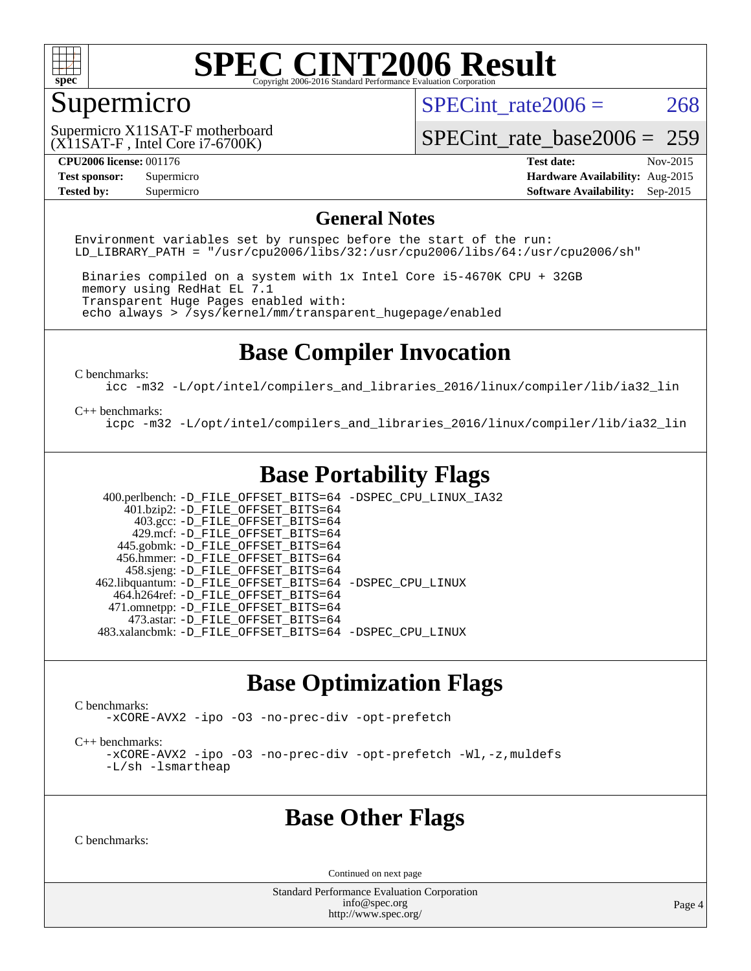

# Supermicro

SPECint rate $2006 = 268$ 

(X11SAT-F , Intel Core i7-6700K) Supermicro X11SAT-F motherboard

[SPECint\\_rate\\_base2006 =](http://www.spec.org/auto/cpu2006/Docs/result-fields.html#SPECintratebase2006) 259

**[CPU2006 license:](http://www.spec.org/auto/cpu2006/Docs/result-fields.html#CPU2006license)** 001176 **[Test date:](http://www.spec.org/auto/cpu2006/Docs/result-fields.html#Testdate)** Nov-2015 **[Test sponsor:](http://www.spec.org/auto/cpu2006/Docs/result-fields.html#Testsponsor)** Supermicro **[Hardware Availability:](http://www.spec.org/auto/cpu2006/Docs/result-fields.html#HardwareAvailability)** Aug-2015 **[Tested by:](http://www.spec.org/auto/cpu2006/Docs/result-fields.html#Testedby)** Supermicro **Supermicro [Software Availability:](http://www.spec.org/auto/cpu2006/Docs/result-fields.html#SoftwareAvailability)** Sep-2015

#### **[General Notes](http://www.spec.org/auto/cpu2006/Docs/result-fields.html#GeneralNotes)**

Environment variables set by runspec before the start of the run: LD LIBRARY PATH = "/usr/cpu2006/libs/32:/usr/cpu2006/libs/64:/usr/cpu2006/sh"

 Binaries compiled on a system with 1x Intel Core i5-4670K CPU + 32GB memory using RedHat EL 7.1 Transparent Huge Pages enabled with: echo always > /sys/kernel/mm/transparent\_hugepage/enabled

# **[Base Compiler Invocation](http://www.spec.org/auto/cpu2006/Docs/result-fields.html#BaseCompilerInvocation)**

[C benchmarks](http://www.spec.org/auto/cpu2006/Docs/result-fields.html#Cbenchmarks):

[icc -m32 -L/opt/intel/compilers\\_and\\_libraries\\_2016/linux/compiler/lib/ia32\\_lin](http://www.spec.org/cpu2006/results/res2016q1/cpu2006-20160107-38619.flags.html#user_CCbase_intel_icc_e10256ba5924b668798078a321b0cb3f)

#### [C++ benchmarks:](http://www.spec.org/auto/cpu2006/Docs/result-fields.html#CXXbenchmarks)

[icpc -m32 -L/opt/intel/compilers\\_and\\_libraries\\_2016/linux/compiler/lib/ia32\\_lin](http://www.spec.org/cpu2006/results/res2016q1/cpu2006-20160107-38619.flags.html#user_CXXbase_intel_icpc_b4f50a394bdb4597aa5879c16bc3f5c5)

# **[Base Portability Flags](http://www.spec.org/auto/cpu2006/Docs/result-fields.html#BasePortabilityFlags)**

 400.perlbench: [-D\\_FILE\\_OFFSET\\_BITS=64](http://www.spec.org/cpu2006/results/res2016q1/cpu2006-20160107-38619.flags.html#user_basePORTABILITY400_perlbench_file_offset_bits_64_438cf9856305ebd76870a2c6dc2689ab) [-DSPEC\\_CPU\\_LINUX\\_IA32](http://www.spec.org/cpu2006/results/res2016q1/cpu2006-20160107-38619.flags.html#b400.perlbench_baseCPORTABILITY_DSPEC_CPU_LINUX_IA32)  $401.bzip2: -D$ FILE\_OFFSET\_BITS=64 403.gcc: [-D\\_FILE\\_OFFSET\\_BITS=64](http://www.spec.org/cpu2006/results/res2016q1/cpu2006-20160107-38619.flags.html#user_basePORTABILITY403_gcc_file_offset_bits_64_438cf9856305ebd76870a2c6dc2689ab) 429.mcf: [-D\\_FILE\\_OFFSET\\_BITS=64](http://www.spec.org/cpu2006/results/res2016q1/cpu2006-20160107-38619.flags.html#user_basePORTABILITY429_mcf_file_offset_bits_64_438cf9856305ebd76870a2c6dc2689ab) 445.gobmk: [-D\\_FILE\\_OFFSET\\_BITS=64](http://www.spec.org/cpu2006/results/res2016q1/cpu2006-20160107-38619.flags.html#user_basePORTABILITY445_gobmk_file_offset_bits_64_438cf9856305ebd76870a2c6dc2689ab) 456.hmmer: [-D\\_FILE\\_OFFSET\\_BITS=64](http://www.spec.org/cpu2006/results/res2016q1/cpu2006-20160107-38619.flags.html#user_basePORTABILITY456_hmmer_file_offset_bits_64_438cf9856305ebd76870a2c6dc2689ab) 458.sjeng: [-D\\_FILE\\_OFFSET\\_BITS=64](http://www.spec.org/cpu2006/results/res2016q1/cpu2006-20160107-38619.flags.html#user_basePORTABILITY458_sjeng_file_offset_bits_64_438cf9856305ebd76870a2c6dc2689ab) 462.libquantum: [-D\\_FILE\\_OFFSET\\_BITS=64](http://www.spec.org/cpu2006/results/res2016q1/cpu2006-20160107-38619.flags.html#user_basePORTABILITY462_libquantum_file_offset_bits_64_438cf9856305ebd76870a2c6dc2689ab) [-DSPEC\\_CPU\\_LINUX](http://www.spec.org/cpu2006/results/res2016q1/cpu2006-20160107-38619.flags.html#b462.libquantum_baseCPORTABILITY_DSPEC_CPU_LINUX) 464.h264ref: [-D\\_FILE\\_OFFSET\\_BITS=64](http://www.spec.org/cpu2006/results/res2016q1/cpu2006-20160107-38619.flags.html#user_basePORTABILITY464_h264ref_file_offset_bits_64_438cf9856305ebd76870a2c6dc2689ab) 471.omnetpp: [-D\\_FILE\\_OFFSET\\_BITS=64](http://www.spec.org/cpu2006/results/res2016q1/cpu2006-20160107-38619.flags.html#user_basePORTABILITY471_omnetpp_file_offset_bits_64_438cf9856305ebd76870a2c6dc2689ab) 473.astar: [-D\\_FILE\\_OFFSET\\_BITS=64](http://www.spec.org/cpu2006/results/res2016q1/cpu2006-20160107-38619.flags.html#user_basePORTABILITY473_astar_file_offset_bits_64_438cf9856305ebd76870a2c6dc2689ab) 483.xalancbmk: [-D\\_FILE\\_OFFSET\\_BITS=64](http://www.spec.org/cpu2006/results/res2016q1/cpu2006-20160107-38619.flags.html#user_basePORTABILITY483_xalancbmk_file_offset_bits_64_438cf9856305ebd76870a2c6dc2689ab) [-DSPEC\\_CPU\\_LINUX](http://www.spec.org/cpu2006/results/res2016q1/cpu2006-20160107-38619.flags.html#b483.xalancbmk_baseCXXPORTABILITY_DSPEC_CPU_LINUX)

# **[Base Optimization Flags](http://www.spec.org/auto/cpu2006/Docs/result-fields.html#BaseOptimizationFlags)**

[C benchmarks](http://www.spec.org/auto/cpu2006/Docs/result-fields.html#Cbenchmarks):

[-xCORE-AVX2](http://www.spec.org/cpu2006/results/res2016q1/cpu2006-20160107-38619.flags.html#user_CCbase_f-xAVX2_5f5fc0cbe2c9f62c816d3e45806c70d7) [-ipo](http://www.spec.org/cpu2006/results/res2016q1/cpu2006-20160107-38619.flags.html#user_CCbase_f-ipo) [-O3](http://www.spec.org/cpu2006/results/res2016q1/cpu2006-20160107-38619.flags.html#user_CCbase_f-O3) [-no-prec-div](http://www.spec.org/cpu2006/results/res2016q1/cpu2006-20160107-38619.flags.html#user_CCbase_f-no-prec-div) [-opt-prefetch](http://www.spec.org/cpu2006/results/res2016q1/cpu2006-20160107-38619.flags.html#user_CCbase_f-opt-prefetch)

[C++ benchmarks:](http://www.spec.org/auto/cpu2006/Docs/result-fields.html#CXXbenchmarks)

[-xCORE-AVX2](http://www.spec.org/cpu2006/results/res2016q1/cpu2006-20160107-38619.flags.html#user_CXXbase_f-xAVX2_5f5fc0cbe2c9f62c816d3e45806c70d7) [-ipo](http://www.spec.org/cpu2006/results/res2016q1/cpu2006-20160107-38619.flags.html#user_CXXbase_f-ipo) [-O3](http://www.spec.org/cpu2006/results/res2016q1/cpu2006-20160107-38619.flags.html#user_CXXbase_f-O3) [-no-prec-div](http://www.spec.org/cpu2006/results/res2016q1/cpu2006-20160107-38619.flags.html#user_CXXbase_f-no-prec-div) [-opt-prefetch](http://www.spec.org/cpu2006/results/res2016q1/cpu2006-20160107-38619.flags.html#user_CXXbase_f-opt-prefetch) [-Wl,-z,muldefs](http://www.spec.org/cpu2006/results/res2016q1/cpu2006-20160107-38619.flags.html#user_CXXbase_link_force_multiple1_74079c344b956b9658436fd1b6dd3a8a) [-L/sh -lsmartheap](http://www.spec.org/cpu2006/results/res2016q1/cpu2006-20160107-38619.flags.html#user_CXXbase_SmartHeap_32f6c82aa1ed9c52345d30cf6e4a0499)

### **[Base Other Flags](http://www.spec.org/auto/cpu2006/Docs/result-fields.html#BaseOtherFlags)**

[C benchmarks](http://www.spec.org/auto/cpu2006/Docs/result-fields.html#Cbenchmarks):

Continued on next page

Standard Performance Evaluation Corporation [info@spec.org](mailto:info@spec.org) <http://www.spec.org/>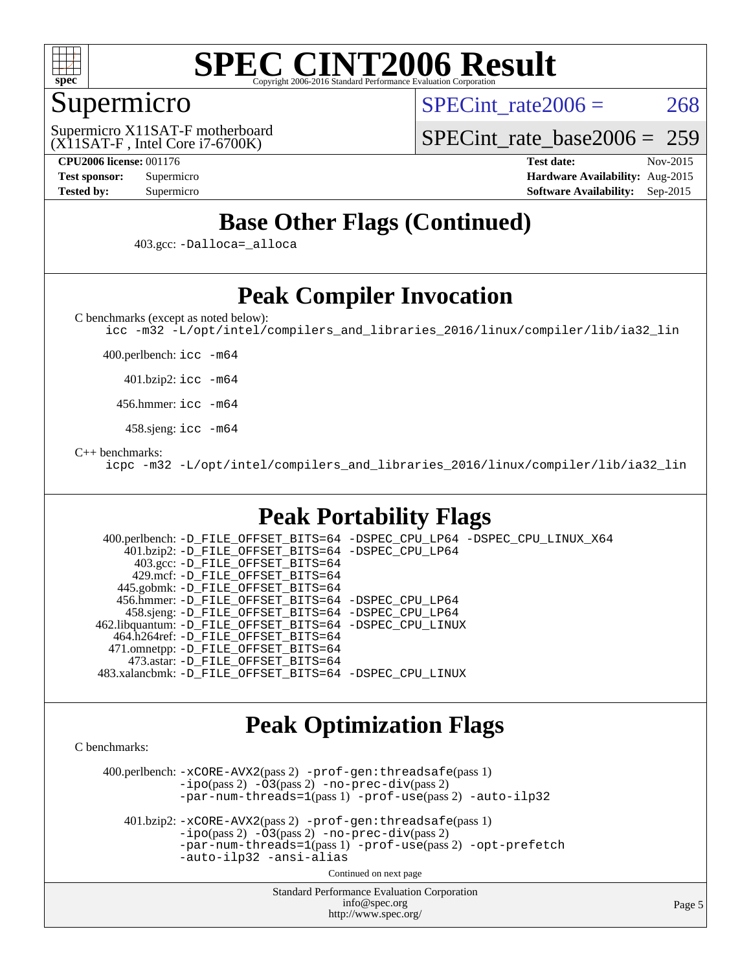

### Supermicro

SPECint rate $2006 = 268$ 

(X11SAT-F , Intel Core i7-6700K) Supermicro X11SAT-F motherboard

[SPECint\\_rate\\_base2006 =](http://www.spec.org/auto/cpu2006/Docs/result-fields.html#SPECintratebase2006) 259

**[CPU2006 license:](http://www.spec.org/auto/cpu2006/Docs/result-fields.html#CPU2006license)** 001176 **[Test date:](http://www.spec.org/auto/cpu2006/Docs/result-fields.html#Testdate)** Nov-2015 **[Test sponsor:](http://www.spec.org/auto/cpu2006/Docs/result-fields.html#Testsponsor)** Supermicro **[Hardware Availability:](http://www.spec.org/auto/cpu2006/Docs/result-fields.html#HardwareAvailability)** Aug-2015 **[Tested by:](http://www.spec.org/auto/cpu2006/Docs/result-fields.html#Testedby)** Supermicro **Supermicro [Software Availability:](http://www.spec.org/auto/cpu2006/Docs/result-fields.html#SoftwareAvailability)** Sep-2015

# **[Base Other Flags \(Continued\)](http://www.spec.org/auto/cpu2006/Docs/result-fields.html#BaseOtherFlags)**

403.gcc: [-Dalloca=\\_alloca](http://www.spec.org/cpu2006/results/res2016q1/cpu2006-20160107-38619.flags.html#b403.gcc_baseEXTRA_CFLAGS_Dalloca_be3056838c12de2578596ca5467af7f3)

# **[Peak Compiler Invocation](http://www.spec.org/auto/cpu2006/Docs/result-fields.html#PeakCompilerInvocation)**

[C benchmarks \(except as noted below\)](http://www.spec.org/auto/cpu2006/Docs/result-fields.html#Cbenchmarksexceptasnotedbelow):

[icc -m32 -L/opt/intel/compilers\\_and\\_libraries\\_2016/linux/compiler/lib/ia32\\_lin](http://www.spec.org/cpu2006/results/res2016q1/cpu2006-20160107-38619.flags.html#user_CCpeak_intel_icc_e10256ba5924b668798078a321b0cb3f)

400.perlbench: [icc -m64](http://www.spec.org/cpu2006/results/res2016q1/cpu2006-20160107-38619.flags.html#user_peakCCLD400_perlbench_intel_icc_64bit_bda6cc9af1fdbb0edc3795bac97ada53)

401.bzip2: [icc -m64](http://www.spec.org/cpu2006/results/res2016q1/cpu2006-20160107-38619.flags.html#user_peakCCLD401_bzip2_intel_icc_64bit_bda6cc9af1fdbb0edc3795bac97ada53)

456.hmmer: [icc -m64](http://www.spec.org/cpu2006/results/res2016q1/cpu2006-20160107-38619.flags.html#user_peakCCLD456_hmmer_intel_icc_64bit_bda6cc9af1fdbb0edc3795bac97ada53)

458.sjeng: [icc -m64](http://www.spec.org/cpu2006/results/res2016q1/cpu2006-20160107-38619.flags.html#user_peakCCLD458_sjeng_intel_icc_64bit_bda6cc9af1fdbb0edc3795bac97ada53)

#### [C++ benchmarks:](http://www.spec.org/auto/cpu2006/Docs/result-fields.html#CXXbenchmarks)

[icpc -m32 -L/opt/intel/compilers\\_and\\_libraries\\_2016/linux/compiler/lib/ia32\\_lin](http://www.spec.org/cpu2006/results/res2016q1/cpu2006-20160107-38619.flags.html#user_CXXpeak_intel_icpc_b4f50a394bdb4597aa5879c16bc3f5c5)

# **[Peak Portability Flags](http://www.spec.org/auto/cpu2006/Docs/result-fields.html#PeakPortabilityFlags)**

 400.perlbench: [-D\\_FILE\\_OFFSET\\_BITS=64](http://www.spec.org/cpu2006/results/res2016q1/cpu2006-20160107-38619.flags.html#user_peakPORTABILITY400_perlbench_file_offset_bits_64_438cf9856305ebd76870a2c6dc2689ab) [-DSPEC\\_CPU\\_LP64](http://www.spec.org/cpu2006/results/res2016q1/cpu2006-20160107-38619.flags.html#b400.perlbench_peakCPORTABILITY_DSPEC_CPU_LP64) [-DSPEC\\_CPU\\_LINUX\\_X64](http://www.spec.org/cpu2006/results/res2016q1/cpu2006-20160107-38619.flags.html#b400.perlbench_peakCPORTABILITY_DSPEC_CPU_LINUX_X64) 401.bzip2: [-D\\_FILE\\_OFFSET\\_BITS=64](http://www.spec.org/cpu2006/results/res2016q1/cpu2006-20160107-38619.flags.html#user_peakPORTABILITY401_bzip2_file_offset_bits_64_438cf9856305ebd76870a2c6dc2689ab) [-DSPEC\\_CPU\\_LP64](http://www.spec.org/cpu2006/results/res2016q1/cpu2006-20160107-38619.flags.html#suite_peakCPORTABILITY401_bzip2_DSPEC_CPU_LP64) 403.gcc: [-D\\_FILE\\_OFFSET\\_BITS=64](http://www.spec.org/cpu2006/results/res2016q1/cpu2006-20160107-38619.flags.html#user_peakPORTABILITY403_gcc_file_offset_bits_64_438cf9856305ebd76870a2c6dc2689ab) 429.mcf: [-D\\_FILE\\_OFFSET\\_BITS=64](http://www.spec.org/cpu2006/results/res2016q1/cpu2006-20160107-38619.flags.html#user_peakPORTABILITY429_mcf_file_offset_bits_64_438cf9856305ebd76870a2c6dc2689ab) 445.gobmk: [-D\\_FILE\\_OFFSET\\_BITS=64](http://www.spec.org/cpu2006/results/res2016q1/cpu2006-20160107-38619.flags.html#user_peakPORTABILITY445_gobmk_file_offset_bits_64_438cf9856305ebd76870a2c6dc2689ab) 456.hmmer: [-D\\_FILE\\_OFFSET\\_BITS=64](http://www.spec.org/cpu2006/results/res2016q1/cpu2006-20160107-38619.flags.html#user_peakPORTABILITY456_hmmer_file_offset_bits_64_438cf9856305ebd76870a2c6dc2689ab) [-DSPEC\\_CPU\\_LP64](http://www.spec.org/cpu2006/results/res2016q1/cpu2006-20160107-38619.flags.html#suite_peakCPORTABILITY456_hmmer_DSPEC_CPU_LP64) 458.sjeng: [-D\\_FILE\\_OFFSET\\_BITS=64](http://www.spec.org/cpu2006/results/res2016q1/cpu2006-20160107-38619.flags.html#user_peakPORTABILITY458_sjeng_file_offset_bits_64_438cf9856305ebd76870a2c6dc2689ab) [-DSPEC\\_CPU\\_LP64](http://www.spec.org/cpu2006/results/res2016q1/cpu2006-20160107-38619.flags.html#suite_peakCPORTABILITY458_sjeng_DSPEC_CPU_LP64) 462.libquantum: [-D\\_FILE\\_OFFSET\\_BITS=64](http://www.spec.org/cpu2006/results/res2016q1/cpu2006-20160107-38619.flags.html#user_peakPORTABILITY462_libquantum_file_offset_bits_64_438cf9856305ebd76870a2c6dc2689ab) [-DSPEC\\_CPU\\_LINUX](http://www.spec.org/cpu2006/results/res2016q1/cpu2006-20160107-38619.flags.html#b462.libquantum_peakCPORTABILITY_DSPEC_CPU_LINUX) 464.h264ref: [-D\\_FILE\\_OFFSET\\_BITS=64](http://www.spec.org/cpu2006/results/res2016q1/cpu2006-20160107-38619.flags.html#user_peakPORTABILITY464_h264ref_file_offset_bits_64_438cf9856305ebd76870a2c6dc2689ab) 471.omnetpp: [-D\\_FILE\\_OFFSET\\_BITS=64](http://www.spec.org/cpu2006/results/res2016q1/cpu2006-20160107-38619.flags.html#user_peakPORTABILITY471_omnetpp_file_offset_bits_64_438cf9856305ebd76870a2c6dc2689ab) 473.astar: [-D\\_FILE\\_OFFSET\\_BITS=64](http://www.spec.org/cpu2006/results/res2016q1/cpu2006-20160107-38619.flags.html#user_peakPORTABILITY473_astar_file_offset_bits_64_438cf9856305ebd76870a2c6dc2689ab) 483.xalancbmk: [-D\\_FILE\\_OFFSET\\_BITS=64](http://www.spec.org/cpu2006/results/res2016q1/cpu2006-20160107-38619.flags.html#user_peakPORTABILITY483_xalancbmk_file_offset_bits_64_438cf9856305ebd76870a2c6dc2689ab) [-DSPEC\\_CPU\\_LINUX](http://www.spec.org/cpu2006/results/res2016q1/cpu2006-20160107-38619.flags.html#b483.xalancbmk_peakCXXPORTABILITY_DSPEC_CPU_LINUX)

### **[Peak Optimization Flags](http://www.spec.org/auto/cpu2006/Docs/result-fields.html#PeakOptimizationFlags)**

[C benchmarks](http://www.spec.org/auto/cpu2006/Docs/result-fields.html#Cbenchmarks):

 400.perlbench: [-xCORE-AVX2](http://www.spec.org/cpu2006/results/res2016q1/cpu2006-20160107-38619.flags.html#user_peakPASS2_CFLAGSPASS2_LDCFLAGS400_perlbench_f-xAVX2_5f5fc0cbe2c9f62c816d3e45806c70d7)(pass 2) [-prof-gen:threadsafe](http://www.spec.org/cpu2006/results/res2016q1/cpu2006-20160107-38619.flags.html#user_peakPASS1_CFLAGSPASS1_LDCFLAGS400_perlbench_prof_gen_21a26eb79f378b550acd7bec9fe4467a)(pass 1)  $-i\text{po}(pass 2) -\tilde{O}3(pass 2)$  [-no-prec-div](http://www.spec.org/cpu2006/results/res2016q1/cpu2006-20160107-38619.flags.html#user_peakPASS2_CFLAGSPASS2_LDCFLAGS400_perlbench_f-no-prec-div)(pass 2) [-par-num-threads=1](http://www.spec.org/cpu2006/results/res2016q1/cpu2006-20160107-38619.flags.html#user_peakPASS1_CFLAGSPASS1_LDCFLAGS400_perlbench_par_num_threads_786a6ff141b4e9e90432e998842df6c2)(pass 1) [-prof-use](http://www.spec.org/cpu2006/results/res2016q1/cpu2006-20160107-38619.flags.html#user_peakPASS2_CFLAGSPASS2_LDCFLAGS400_perlbench_prof_use_bccf7792157ff70d64e32fe3e1250b55)(pass 2) [-auto-ilp32](http://www.spec.org/cpu2006/results/res2016q1/cpu2006-20160107-38619.flags.html#user_peakCOPTIMIZE400_perlbench_f-auto-ilp32)

 401.bzip2: [-xCORE-AVX2](http://www.spec.org/cpu2006/results/res2016q1/cpu2006-20160107-38619.flags.html#user_peakPASS2_CFLAGSPASS2_LDCFLAGS401_bzip2_f-xAVX2_5f5fc0cbe2c9f62c816d3e45806c70d7)(pass 2) [-prof-gen:threadsafe](http://www.spec.org/cpu2006/results/res2016q1/cpu2006-20160107-38619.flags.html#user_peakPASS1_CFLAGSPASS1_LDCFLAGS401_bzip2_prof_gen_21a26eb79f378b550acd7bec9fe4467a)(pass 1)  $-i\text{po}(pass 2) -\overline{O}3(pass 2)$  [-no-prec-div](http://www.spec.org/cpu2006/results/res2016q1/cpu2006-20160107-38619.flags.html#user_peakPASS2_CFLAGSPASS2_LDCFLAGS401_bzip2_f-no-prec-div)(pass 2) [-par-num-threads=1](http://www.spec.org/cpu2006/results/res2016q1/cpu2006-20160107-38619.flags.html#user_peakPASS1_CFLAGSPASS1_LDCFLAGS401_bzip2_par_num_threads_786a6ff141b4e9e90432e998842df6c2)(pass 1) [-prof-use](http://www.spec.org/cpu2006/results/res2016q1/cpu2006-20160107-38619.flags.html#user_peakPASS2_CFLAGSPASS2_LDCFLAGS401_bzip2_prof_use_bccf7792157ff70d64e32fe3e1250b55)(pass 2) [-opt-prefetch](http://www.spec.org/cpu2006/results/res2016q1/cpu2006-20160107-38619.flags.html#user_peakCOPTIMIZE401_bzip2_f-opt-prefetch) [-auto-ilp32](http://www.spec.org/cpu2006/results/res2016q1/cpu2006-20160107-38619.flags.html#user_peakCOPTIMIZE401_bzip2_f-auto-ilp32) [-ansi-alias](http://www.spec.org/cpu2006/results/res2016q1/cpu2006-20160107-38619.flags.html#user_peakCOPTIMIZE401_bzip2_f-ansi-alias)

Continued on next page

Standard Performance Evaluation Corporation [info@spec.org](mailto:info@spec.org) <http://www.spec.org/>

Page 5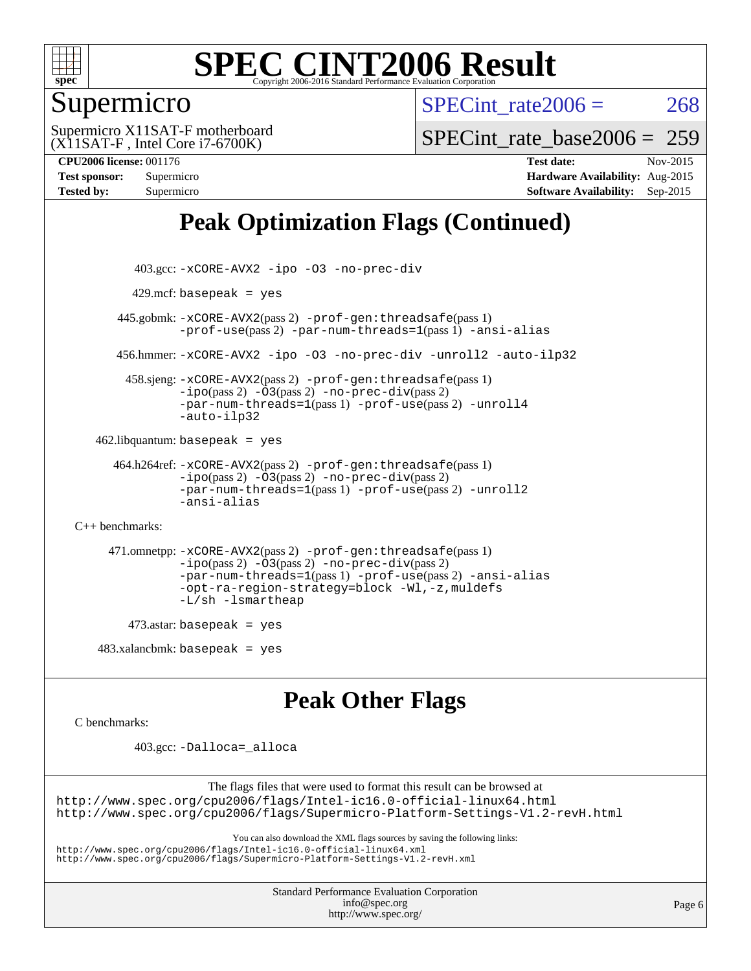

## Supermicro

SPECint rate $2006 = 268$ 

(X11SAT-F , Intel Core i7-6700K) Supermicro X11SAT-F motherboard [SPECint\\_rate\\_base2006 =](http://www.spec.org/auto/cpu2006/Docs/result-fields.html#SPECintratebase2006) 259

**[CPU2006 license:](http://www.spec.org/auto/cpu2006/Docs/result-fields.html#CPU2006license)** 001176 **[Test date:](http://www.spec.org/auto/cpu2006/Docs/result-fields.html#Testdate)** Nov-2015 **[Test sponsor:](http://www.spec.org/auto/cpu2006/Docs/result-fields.html#Testsponsor)** Supermicro **[Hardware Availability:](http://www.spec.org/auto/cpu2006/Docs/result-fields.html#HardwareAvailability)** Aug-2015 **[Tested by:](http://www.spec.org/auto/cpu2006/Docs/result-fields.html#Testedby)** Supermicro **[Software Availability:](http://www.spec.org/auto/cpu2006/Docs/result-fields.html#SoftwareAvailability)** Sep-2015

# **[Peak Optimization Flags \(Continued\)](http://www.spec.org/auto/cpu2006/Docs/result-fields.html#PeakOptimizationFlags)**

```
 403.gcc: -xCORE-AVX2 -ipo -O3 -no-prec-div
         429.mcf: basepeak = yes
       445.gobmk: -xCORE-AVX2(pass 2) -prof-gen:threadsafe(pass 1)
                -prof-use(pass 2) -par-num-threads=1(pass 1) -ansi-alias
       456.hmmer: -xCORE-AVX2 -ipo -O3 -no-prec-div -unroll2 -auto-ilp32
         458.sjeng: -xCORE-AVX2(pass 2) -prof-gen:threadsafe(pass 1)
                -i\text{po}(pass 2) -\overline{O}3(pass 2)-no-prec-div(pass 2)
                -par-num-threads=1(pass 1) -prof-use(pass 2) -unroll4
                -auto-ilp32
   462.libquantum: basepeak = yes
      464.h264ref: -xCORE-AVX2(pass 2) -prof-gen:threadsafe(pass 1)
                -ipo(pass 2) -O3(pass 2) -no-prec-div(pass 2)
                -par-num-threads=1(pass 1) -prof-use(pass 2) -unroll2
                -ansi-alias
C++ benchmarks: 
      471.omnetpp: -xCORE-AVX2(pass 2) -prof-gen:threadsafe(pass 1)
                -ipo(pass 2) -O3(pass 2) -no-prec-div(pass 2)
                -par-num-threads=1(pass 1) -prof-use(pass 2) -ansi-alias
                -opt-ra-region-strategy=block -Wl,-z,muldefs
                -L/sh -lsmartheap
        473.astar: basepeak = yes
   483.xalanchmk: basepeak = yesPeak Other Flags
C benchmarks: 
          403.gcc: -Dalloca=_alloca
```
The flags files that were used to format this result can be browsed at <http://www.spec.org/cpu2006/flags/Intel-ic16.0-official-linux64.html> <http://www.spec.org/cpu2006/flags/Supermicro-Platform-Settings-V1.2-revH.html>

You can also download the XML flags sources by saving the following links:

<http://www.spec.org/cpu2006/flags/Intel-ic16.0-official-linux64.xml>

<http://www.spec.org/cpu2006/flags/Supermicro-Platform-Settings-V1.2-revH.xml>

Standard Performance Evaluation Corporation [info@spec.org](mailto:info@spec.org) <http://www.spec.org/>